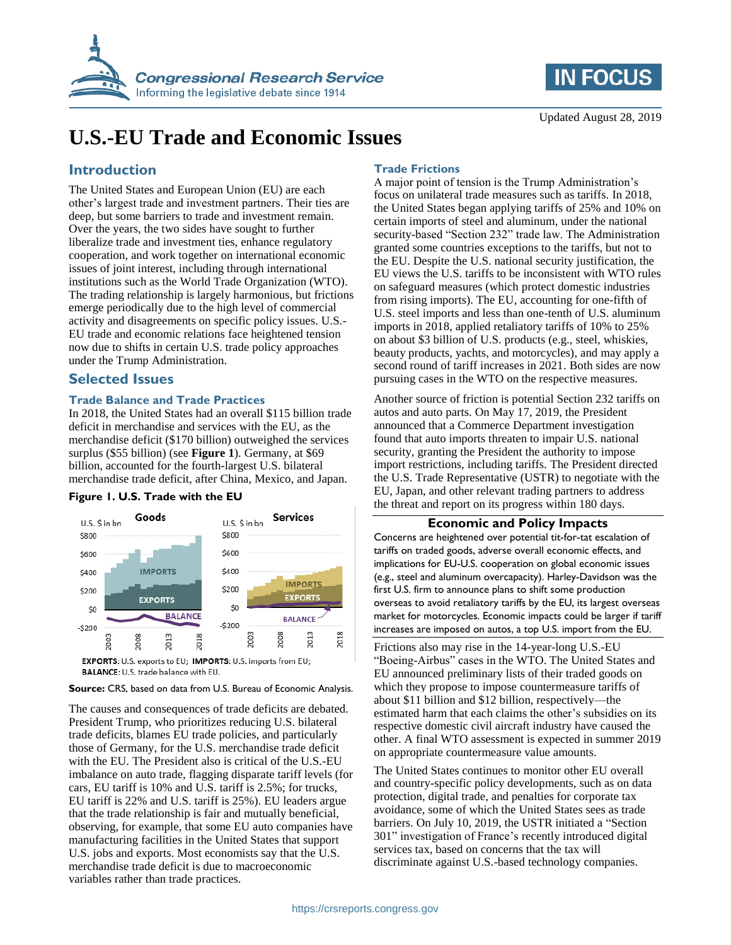



# **U.S.-EU Trade and Economic Issues**

# **Introduction**

The United States and European Union (EU) are each other's largest trade and investment partners. Their ties are deep, but some barriers to trade and investment remain. Over the years, the two sides have sought to further liberalize trade and investment ties, enhance regulatory cooperation, and work together on international economic issues of joint interest, including through international institutions such as the World Trade Organization (WTO). The trading relationship is largely harmonious, but frictions emerge periodically due to the high level of commercial activity and disagreements on specific policy issues. U.S.- EU trade and economic relations face heightened tension now due to shifts in certain U.S. trade policy approaches under the Trump Administration.

# **Selected Issues**

## **Trade Balance and Trade Practices**

In 2018, the United States had an overall \$115 billion trade deficit in merchandise and services with the EU, as the merchandise deficit (\$170 billion) outweighed the services surplus (\$55 billion) (see **[Figure 1](#page-0-0)**). Germany, at \$69 billion, accounted for the fourth-largest U.S. bilateral merchandise trade deficit, after China, Mexico, and Japan.

## <span id="page-0-0"></span>**Figure 1. U.S. Trade with the EU**



EXPORTS: U.S. exports to EU; IMPORTS: U.S. imports from EU; BALANCE: U.S. trade balance with EU.

#### **Source:** CRS, based on data from U.S. Bureau of Economic Analysis.

The causes and consequences of trade deficits are debated. President Trump, who prioritizes reducing U.S. bilateral trade deficits, blames EU trade policies, and particularly those of Germany, for the U.S. merchandise trade deficit with the EU. The President also is critical of the U.S.-EU imbalance on auto trade, flagging disparate tariff levels (for cars, EU tariff is 10% and U.S. tariff is 2.5%; for trucks, EU tariff is 22% and U.S. tariff is 25%). EU leaders argue that the trade relationship is fair and mutually beneficial, observing, for example, that some EU auto companies have manufacturing facilities in the United States that support U.S. jobs and exports. Most economists say that the U.S. merchandise trade deficit is due to macroeconomic variables rather than trade practices.

# **Trade Frictions**

A major point of tension is the Trump Administration's focus on unilateral trade measures such as tariffs. In 2018, the United States began applying tariffs of 25% and 10% on certain imports of steel and aluminum, under the national security-based "Section 232" trade law. The Administration granted some countries exceptions to the tariffs, but not to the EU. Despite the U.S. national security justification, the EU views the U.S. tariffs to be inconsistent with WTO rules on safeguard measures (which protect domestic industries from rising imports). The EU, accounting for one-fifth of U.S. steel imports and less than one-tenth of U.S. aluminum imports in 2018, applied retaliatory tariffs of 10% to 25% on about \$3 billion of U.S. products (e.g., steel, whiskies, beauty products, yachts, and motorcycles), and may apply a second round of tariff increases in 2021. Both sides are now pursuing cases in the WTO on the respective measures.

Another source of friction is potential Section 232 tariffs on autos and auto parts. On May 17, 2019, the President announced that a Commerce Department investigation found that auto imports threaten to impair U.S. national security, granting the President the authority to impose import restrictions, including tariffs. The President directed the U.S. Trade Representative (USTR) to negotiate with the EU, Japan, and other relevant trading partners to address the threat and report on its progress within 180 days.

## **Economic and Policy Impacts**

Concerns are heightened over potential tit-for-tat escalation of tariffs on traded goods, adverse overall economic effects, and implications for EU-U.S. cooperation on global economic issues (e.g., steel and aluminum overcapacity). Harley-Davidson was the first U.S. firm to announce plans to shift some production overseas to avoid retaliatory tariffs by the EU, its largest overseas market for motorcycles. Economic impacts could be larger if tariff increases are imposed on autos, a top U.S. import from the EU.

Frictions also may rise in the 14-year-long U.S.-EU "Boeing-Airbus" cases in the WTO. The United States and EU announced preliminary lists of their traded goods on which they propose to impose countermeasure tariffs of about \$11 billion and \$12 billion, respectively—the estimated harm that each claims the other's subsidies on its respective domestic civil aircraft industry have caused the other. A final WTO assessment is expected in summer 2019 on appropriate countermeasure value amounts.

The United States continues to monitor other EU overall and country-specific policy developments, such as on data protection, digital trade, and penalties for corporate tax avoidance, some of which the United States sees as trade barriers. On July 10, 2019, the USTR initiated a "Section 301" investigation of France's recently introduced digital services tax, based on concerns that the tax will discriminate against U.S.-based technology companies.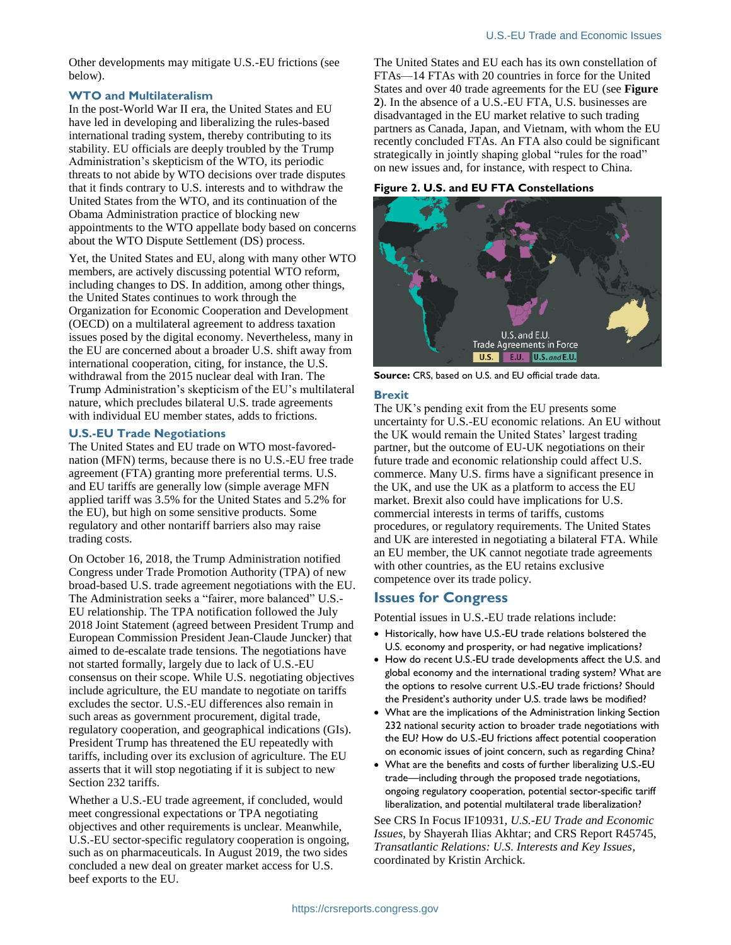Other developments may mitigate U.S.-EU frictions (see below).

#### **WTO and Multilateralism**

In the post-World War II era, the United States and EU have led in developing and liberalizing the rules-based international trading system, thereby contributing to its stability. EU officials are deeply troubled by the Trump Administration's skepticism of the WTO, its periodic threats to not abide by WTO decisions over trade disputes that it finds contrary to U.S. interests and to withdraw the United States from the WTO, and its continuation of the Obama Administration practice of blocking new appointments to the WTO appellate body based on concerns about the WTO Dispute Settlement (DS) process.

Yet, the United States and EU, along with many other WTO members, are actively discussing potential WTO reform, including changes to DS. In addition, among other things, the United States continues to work through the Organization for Economic Cooperation and Development (OECD) on a multilateral agreement to address taxation issues posed by the digital economy. Nevertheless, many in the EU are concerned about a broader U.S. shift away from international cooperation, citing, for instance, the U.S. withdrawal from the 2015 nuclear deal with Iran. The Trump Administration's skepticism of the EU's multilateral nature, which precludes bilateral U.S. trade agreements with individual EU member states, adds to frictions.

#### **U.S.-EU Trade Negotiations**

The United States and EU trade on WTO most-favorednation (MFN) terms, because there is no U.S.-EU free trade agreement (FTA) granting more preferential terms. U.S. and EU tariffs are generally low (simple average MFN applied tariff was 3.5% for the United States and 5.2% for the EU), but high on some sensitive products. Some regulatory and other nontariff barriers also may raise trading costs.

On October 16, 2018, the Trump Administration notified Congress under Trade Promotion Authority (TPA) of new broad-based U.S. trade agreement negotiations with the EU. The Administration seeks a "fairer, more balanced" U.S.- EU relationship. The TPA notification followed the July 2018 Joint Statement (agreed between President Trump and European Commission President Jean-Claude Juncker) that aimed to de-escalate trade tensions. The negotiations have not started formally, largely due to lack of U.S.-EU consensus on their scope. While U.S. negotiating objectives include agriculture, the EU mandate to negotiate on tariffs excludes the sector. U.S.-EU differences also remain in such areas as government procurement, digital trade, regulatory cooperation, and geographical indications (GIs). President Trump has threatened the EU repeatedly with tariffs, including over its exclusion of agriculture. The EU asserts that it will stop negotiating if it is subject to new Section 232 tariffs.

Whether a U.S.-EU trade agreement, if concluded, would meet congressional expectations or TPA negotiating objectives and other requirements is unclear. Meanwhile, U.S.-EU sector-specific regulatory cooperation is ongoing, such as on pharmaceuticals. In August 2019, the two sides concluded a new deal on greater market access for U.S. beef exports to the EU.

The United States and EU each has its own constellation of FTAs—14 FTAs with 20 countries in force for the United States and over 40 trade agreements for the EU (see **[Figure](#page-1-0)  [2](#page-1-0)**). In the absence of a U.S.-EU FTA, U.S. businesses are disadvantaged in the EU market relative to such trading partners as Canada, Japan, and Vietnam, with whom the EU recently concluded FTAs. An FTA also could be significant strategically in jointly shaping global "rules for the road" on new issues and, for instance, with respect to China.

#### <span id="page-1-0"></span>**Figure 2. U.S. and EU FTA Constellations**



**Source:** CRS, based on U.S. and EU official trade data.

#### **Brexit**

The UK's pending exit from the EU presents some uncertainty for U.S.-EU economic relations. An EU without the UK would remain the United States' largest trading partner, but the outcome of EU-UK negotiations on their future trade and economic relationship could affect U.S. commerce. Many U.S. firms have a significant presence in the UK, and use the UK as a platform to access the EU market. Brexit also could have implications for U.S. commercial interests in terms of tariffs, customs procedures, or regulatory requirements. The United States and UK are interested in negotiating a bilateral FTA. While an EU member, the UK cannot negotiate trade agreements with other countries, as the EU retains exclusive competence over its trade policy.

## **Issues for Congress**

Potential issues in U.S.-EU trade relations include:

- Historically, how have U.S.-EU trade relations bolstered the U.S. economy and prosperity, or had negative implications?
- How do recent U.S.-EU trade developments affect the U.S. and global economy and the international trading system? What are the options to resolve current U.S.-EU trade frictions? Should the President's authority under U.S. trade laws be modified?
- What are the implications of the Administration linking Section 232 national security action to broader trade negotiations with the EU? How do U.S.-EU frictions affect potential cooperation on economic issues of joint concern, such as regarding China?
- What are the benefits and costs of further liberalizing U.S.-EU trade—including through the proposed trade negotiations, ongoing regulatory cooperation, potential sector-specific tariff liberalization, and potential multilateral trade liberalization?

See CRS In Focus IF10931, *U.S.-EU Trade and Economic Issues*, by Shayerah Ilias Akhtar; and CRS Report R45745, *Transatlantic Relations: U.S. Interests and Key Issues*, coordinated by Kristin Archick.